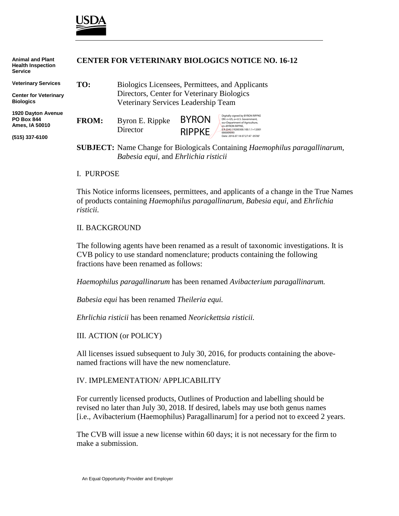

**Animal and Plant**

| וווטו ו מוועד ומווירת<br><b>Health Inspection</b><br><b>Service</b> | CENTER FOR VETERINART DIOLOGICS NOTICE NO. 10-12 |                                                 |                               |                                                                                                                                                          |
|---------------------------------------------------------------------|--------------------------------------------------|-------------------------------------------------|-------------------------------|----------------------------------------------------------------------------------------------------------------------------------------------------------|
| <b>Veterinary Services</b>                                          | TO:                                              | Biologics Licensees, Permittees, and Applicants |                               |                                                                                                                                                          |
| <b>Center for Veterinary</b><br><b>Biologics</b>                    |                                                  | Directors, Center for Veterinary Biologics      |                               |                                                                                                                                                          |
|                                                                     | Veterinary Services Leadership Team              |                                                 |                               |                                                                                                                                                          |
| <b>1920 Dayton Avenue</b><br><b>PO Box 844</b><br>Ames, IA 50010    | <b>FROM:</b>                                     | Byron E. Rippke<br>Director                     | <b>BYRON</b><br><b>RIPPKE</b> | Digitally signed by BYRON RIPPKE<br>DN: c=US, o=U.S. Government,<br>ou=Department of Agriculture,<br>cn=BYRON RIPPKE.<br>0.9.2342.19200300.100.1.1=12001 |
| (515) 337-6100                                                      |                                                  |                                                 |                               | 000004093<br>Date: 2016.07.18 07:27:47 -05'00'                                                                                                           |
|                                                                     |                                                  |                                                 |                               | <b>SUBJECT:</b> Name Change for Biologicals Containing Haemophilus paragallinarum,                                                                       |

*Babesia equi,* and *Ehrlichia risticii*

**CENTER FOR VETERINARY BIOLOGICS NOTICE NO. 16-12**

#### I. PURPOSE

This Notice informs licensees, permittees, and applicants of a change in the True Names of products containing *Haemophilus paragallinarum, Babesia equi,* and *Ehrlichia risticii.*

#### II. BACKGROUND

The following agents have been renamed as a result of taxonomic investigations. It is CVB policy to use standard nomenclature; products containing the following fractions have been renamed as follows:

*Haemophilus paragallinarum* has been renamed *Avibacterium paragallinarum.*

*Babesia equi* has been renamed *Theileria equi.*

*Ehrlichia risticii* has been renamed *Neorickettsia risticii.*

III. ACTION (or POLICY)

All licenses issued subsequent to July 30, 2016, for products containing the abovenamed fractions will have the new nomenclature.

### IV. IMPLEMENTATION/ APPLICABILITY

For currently licensed products, Outlines of Production and labelling should be revised no later than July 30, 2018. If desired, labels may use both genus names [i.e., Avibacterium (Haemophilus) Paragallinarum] for a period not to exceed 2 years.

The CVB will issue a new license within 60 days; it is not necessary for the firm to make a submission.